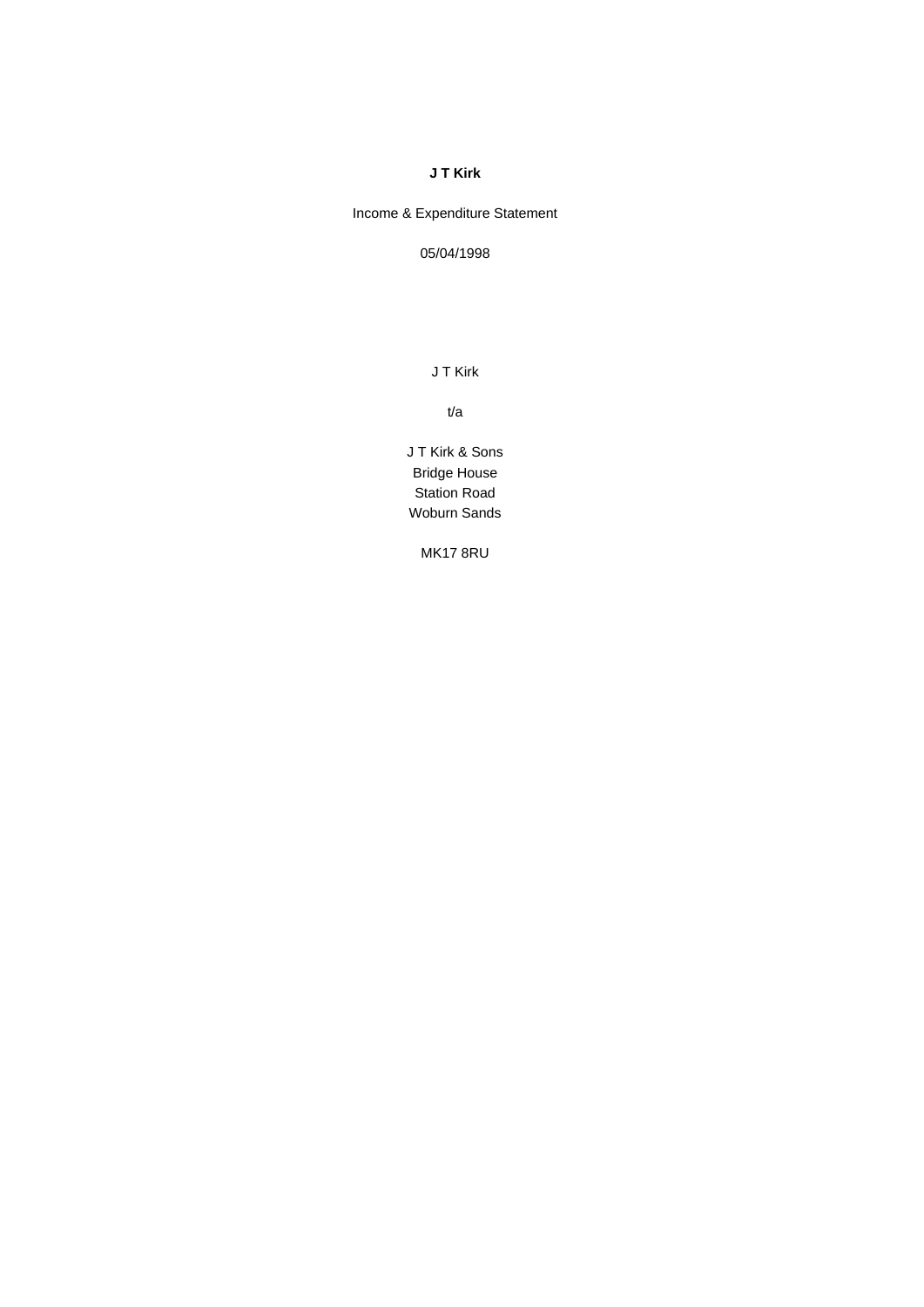## **J T Kirk**

Income & Expenditure Statement

05/04/1998

J T Kirk

t/a

J T Kirk & Sons Bridge House Station Road Woburn Sands

MK17 8RU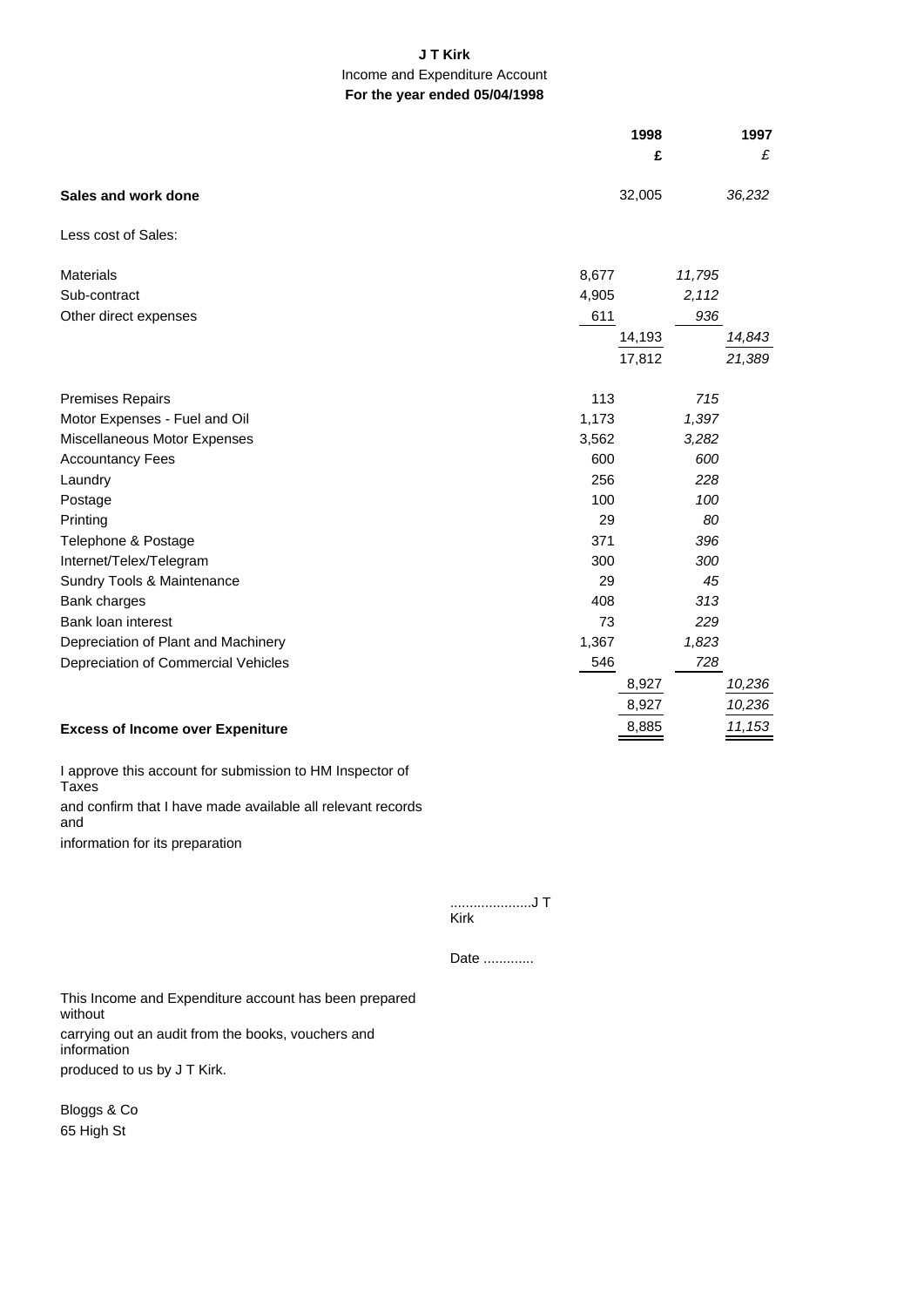## **J T Kirk** Income and Expenditure Account **For the year ended 05/04/1998**

|                                         | 1998   | 1997   |
|-----------------------------------------|--------|--------|
|                                         | £      | £      |
| Sales and work done                     | 32,005 | 36,232 |
| Less cost of Sales:                     |        |        |
| <b>Materials</b>                        | 8,677  | 11,795 |
| Sub-contract                            | 4,905  | 2,112  |
| Other direct expenses                   | 611    | 936    |
|                                         | 14,193 | 14,843 |
|                                         | 17,812 | 21,389 |
| <b>Premises Repairs</b>                 | 113    | 715    |
| Motor Expenses - Fuel and Oil           | 1,173  | 1,397  |
| Miscellaneous Motor Expenses            | 3,562  | 3,282  |
| <b>Accountancy Fees</b>                 | 600    | 600    |
| Laundry                                 | 256    | 228    |
| Postage                                 | 100    | 100    |
| Printing                                | 29     | 80     |
| Telephone & Postage                     | 371    | 396    |
| Internet/Telex/Telegram                 | 300    | 300    |
| Sundry Tools & Maintenance              | 29     | 45     |
| Bank charges                            | 408    | 313    |
| Bank loan interest                      | 73     | 229    |
| Depreciation of Plant and Machinery     | 1,367  | 1,823  |
| Depreciation of Commercial Vehicles     | 546    | 728    |
|                                         | 8,927  | 10,236 |
|                                         | 8,927  | 10,236 |
| <b>Excess of Income over Expeniture</b> | 8,885  | 11,153 |

I approve this account for submission to HM Inspector of Taxes and confirm that I have made available all relevant records and information for its preparation

> .....................J T Kirk

Date .............

This Income and Expenditure account has been prepared without carrying out an audit from the books, vouchers and information produced to us by J T Kirk.

Bloggs & Co 65 High St